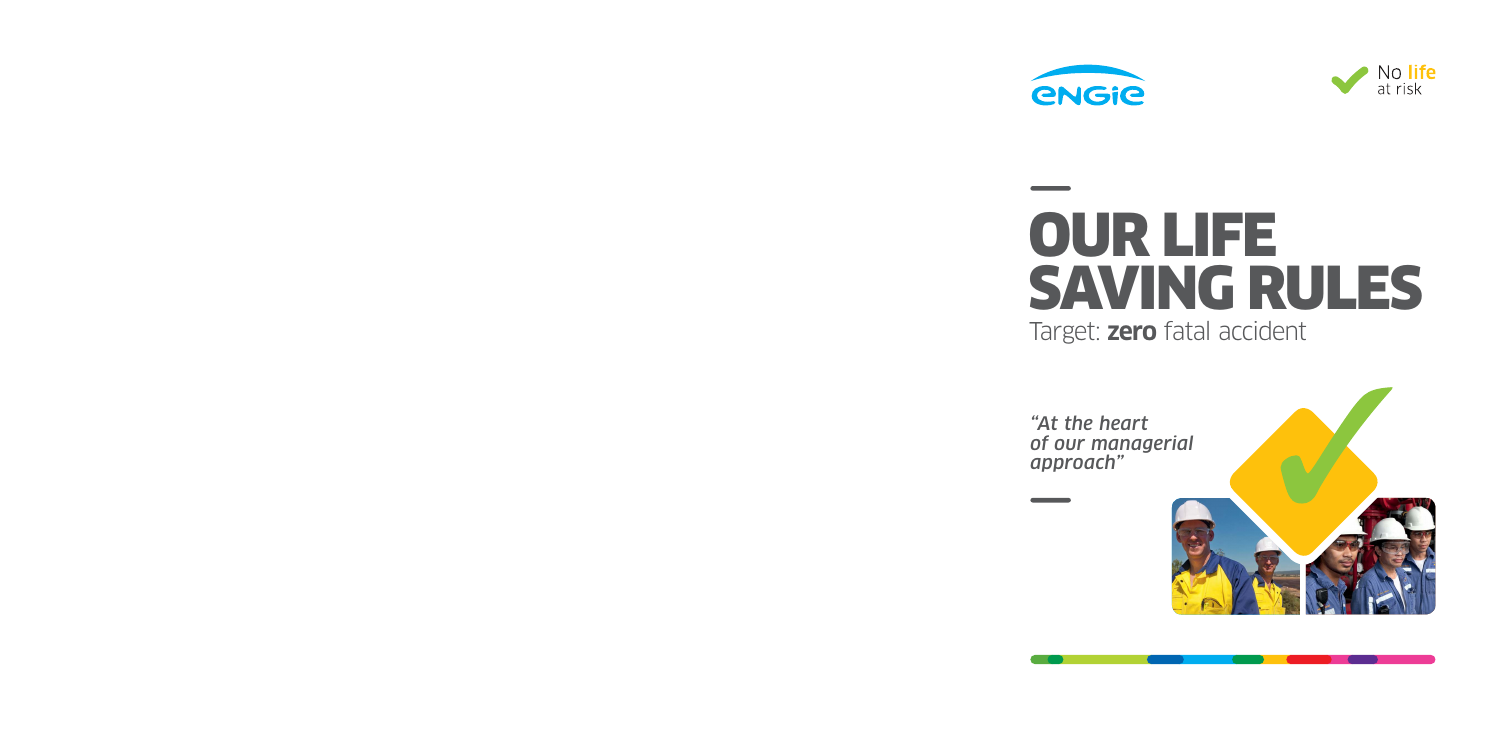



# Target: **zero** fatal accident OUR LIFE SAVING RULES

*"At the heart of our managerial approach"*

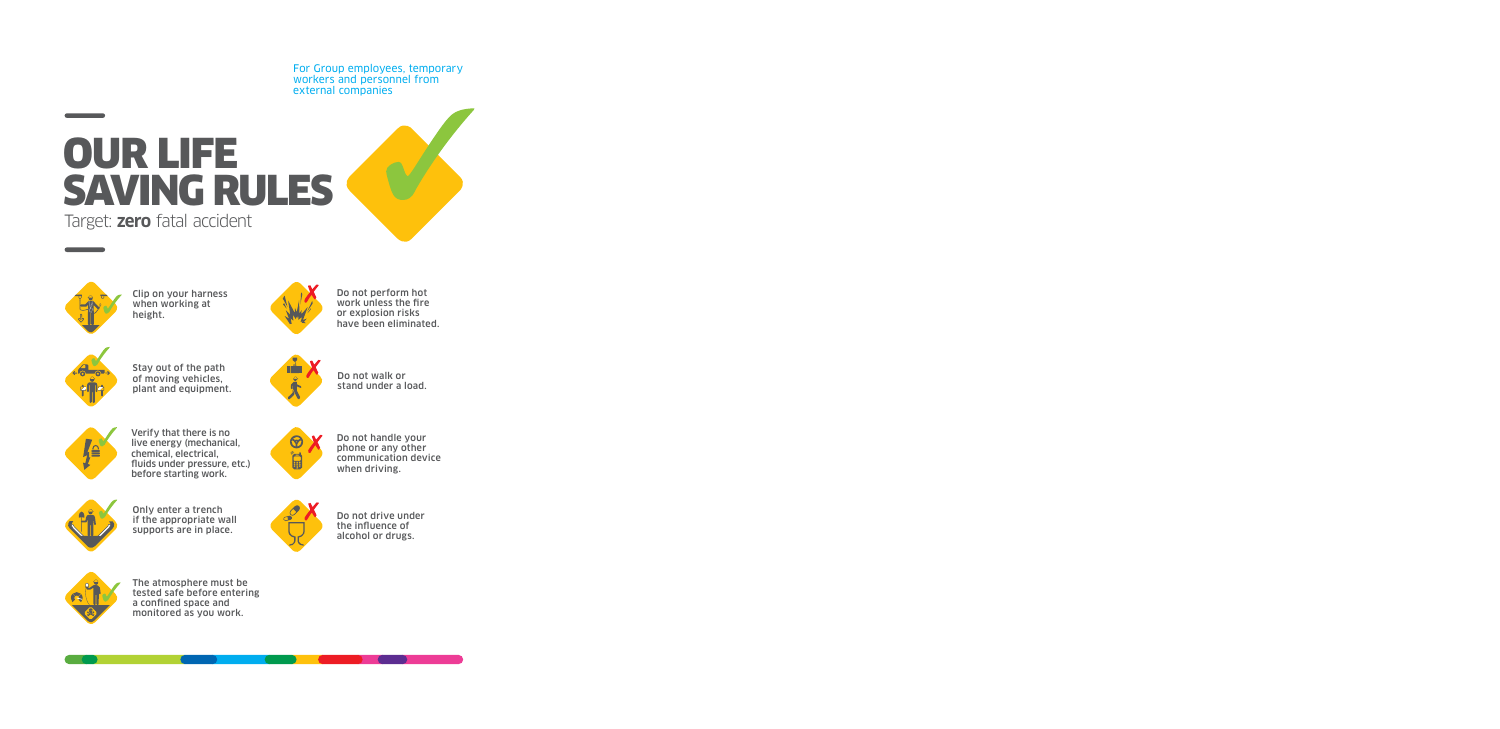For Group employees, temporary workers and personnel from external companies

## OUR LIFE SAVING RULES Target: **zero** fatal accident





Clip on your harness when working at height.



Do not perform hot work unless the fire or explosion risks have been eliminated.



Stay out of the path of moving vehicles, plant and equipment.



Do not walk or stand under a load.



Verify that there is no live energy (mechanical, chemical, electrical, fluids under pressure, etc.) before starting work.



Do not handle your phone or any other communication device when driving.



Only enter a trench if the appropriate wall supports are in place.



Do not drive under the influence of alcohol or drugs.



The atmosphere must be tested safe before entering a confined space and monitored as you work.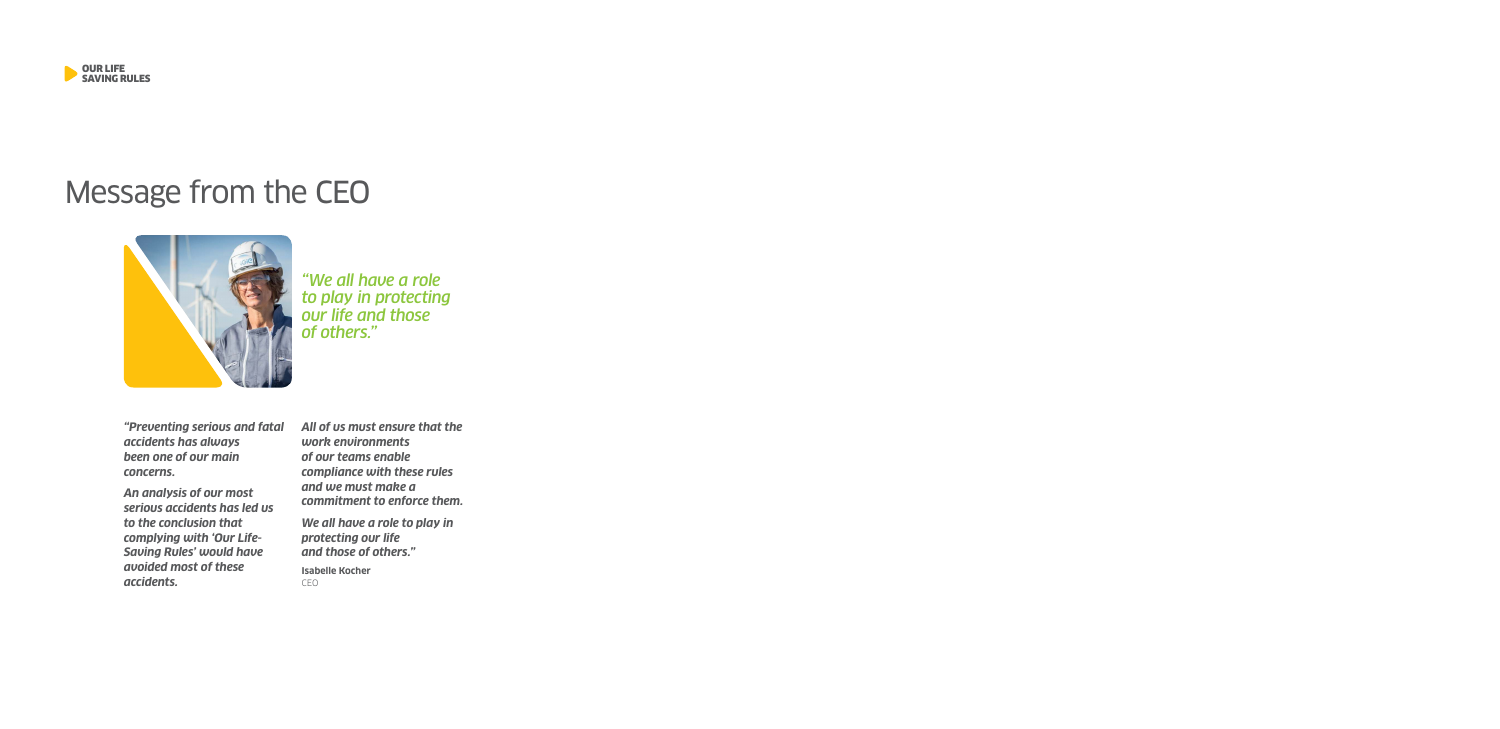

## Message from the CEO



*"We all have a role to play in protecting our life and those of others."*

*"Preventing serious and fatal accidents has always been one of our main concerns.*

*An analysis of our most serious accidents has led us to the conclusion that complying with 'Our Life-Saving Rules' would have avoided most of these accidents.*

*All of us must ensure that the work environments of our teams enable compliance with these rules and we must make a commitment to enforce them.* 

*We all have a role to play in protecting our life and those of others."*

**Isabelle Kocher** CEO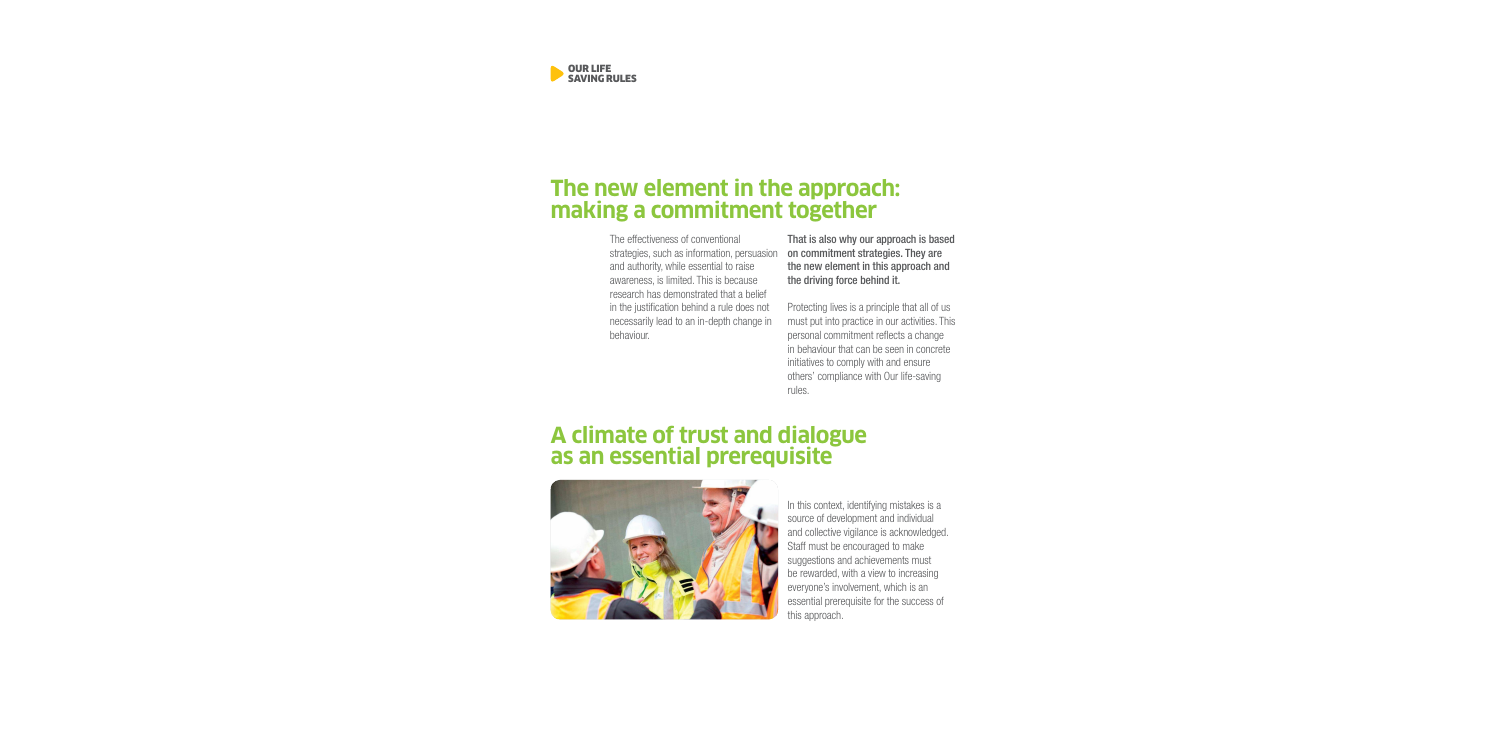

### **The new element in the approach: making a commitment together**

The effectiveness of conventional strategies, such as information, persuasion and authority, while essential to raise awareness, is limited. This is because research has demonstrated that a belief in the justification behind a rule does not necessarily lead to an in-depth change in behaviour.

That is also why our approach is based on commitment strategies. They are the new element in this approach and the driving force behind it.

Protecting lives is a principle that all of us must put into practice in our activities. This personal commitment reflects a change in behaviour that can be seen in concrete initiatives to comply with and ensure others' compliance with Our life-saving rules.

### **A climate of trust and dialogue as an essential prerequisite**



In this context, identifying mistakes is a source of development and individual and collective vigilance is acknowledged. Staff must be encouraged to make suggestions and achievements must be rewarded, with a view to increasing everyone's involvement, which is an essential prerequisite for the success of this approach.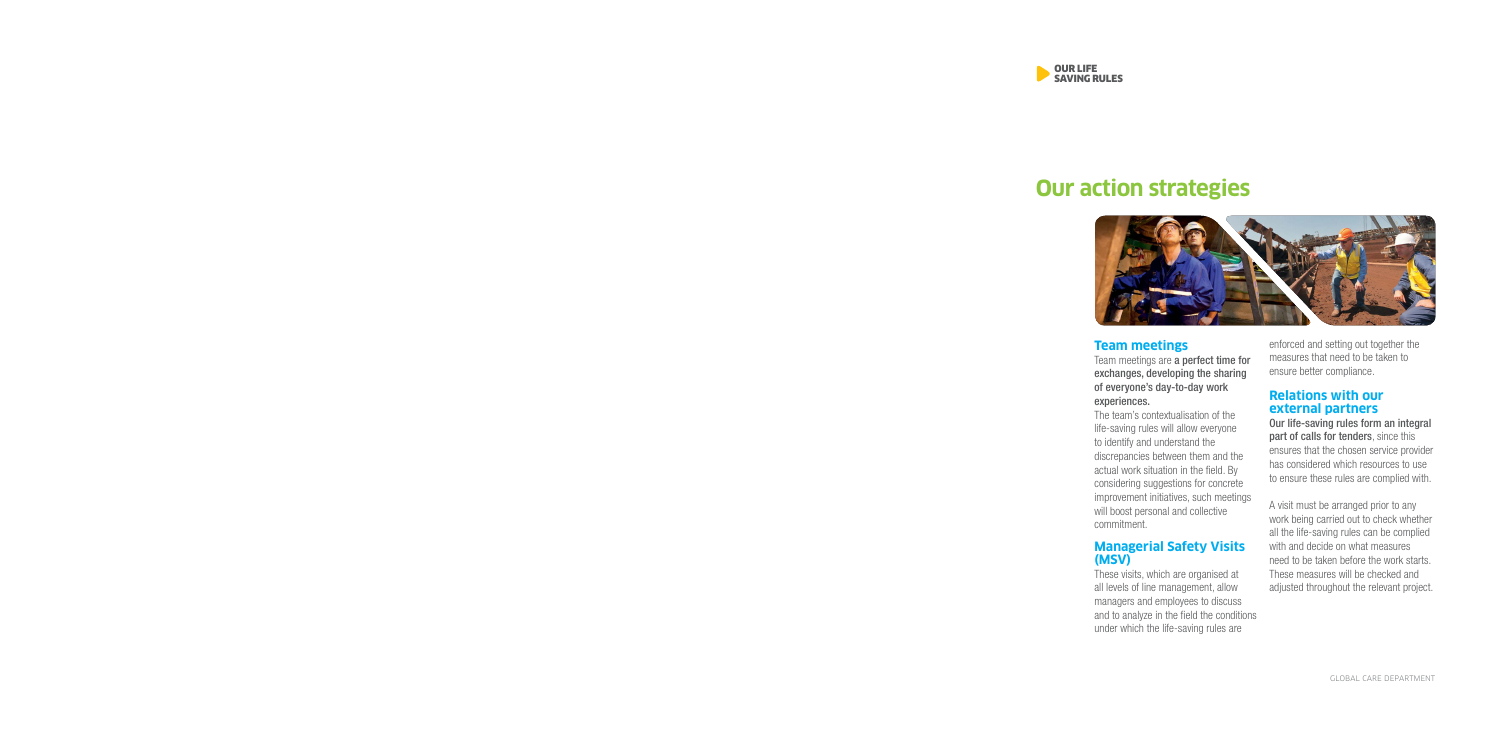

## **Our action strategies**



#### **Team meetings**

Team meetings are a perfect time for exchanges, developing the sharing of everyone's day-to-day work experiences.

The team's contextualisation of the life-saving rules will allow everyone to identify and understand the discrepancies between them and the actual work situation in the field. By considering suggestions for concrete improvement initiatives, such meetings will boost personal and collective commitment.

#### **Managerial Safety Visits (MSV)**

These visits, which are organised at all levels of line management, allow managers and employees to discuss and to analyze in the field the conditions under which the life-saving rules are

enforced and setting out together the measures that need to be taken to ensure better compliance.

#### **Relations with our external partners**

Our life-saving rules form an integral part of calls for tenders, since this ensures that the chosen service provider has considered which resources to use to ensure these rules are complied with.

A visit must be arranged prior to any work being carried out to check whether all the life-saving rules can be complied with and decide on what measures need to be taken before the work starts. These measures will be checked and adjusted throughout the relevant project.